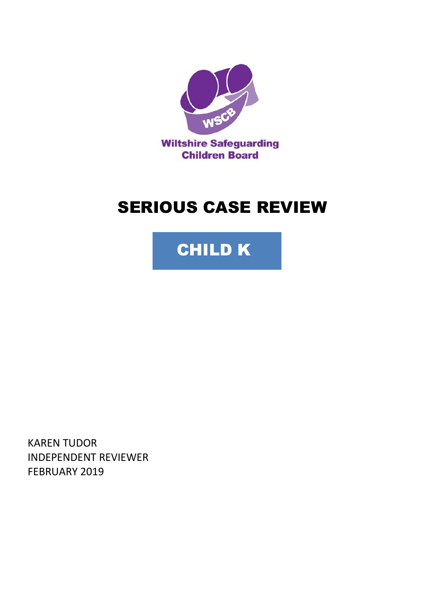

# SERIOUS CASE REVIEW



KAREN TUDOR INDEPENDENT REVIEWER FEBRUARY 2019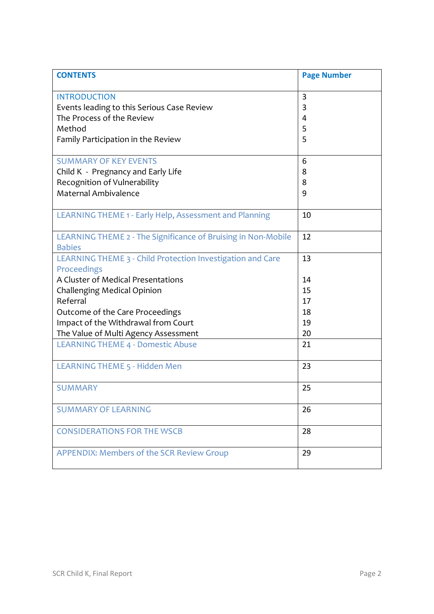| <b>CONTENTS</b>                                                                | <b>Page Number</b> |
|--------------------------------------------------------------------------------|--------------------|
| <b>INTRODUCTION</b>                                                            | 3                  |
| Events leading to this Serious Case Review                                     | 3                  |
| The Process of the Review                                                      | 4                  |
| Method                                                                         | 5                  |
| Family Participation in the Review                                             | 5                  |
| <b>SUMMARY OF KEY EVENTS</b>                                                   | 6                  |
| Child K - Pregnancy and Early Life                                             | 8                  |
| Recognition of Vulnerability                                                   | 8                  |
| Maternal Ambivalence                                                           | 9                  |
| LEARNING THEME 1 - Early Help, Assessment and Planning                         | 10                 |
| LEARNING THEME 2 - The Significance of Bruising in Non-Mobile<br><b>Babies</b> | 12                 |
| LEARNING THEME 3 - Child Protection Investigation and Care                     | 13                 |
| Proceedings                                                                    |                    |
| A Cluster of Medical Presentations                                             | 14                 |
| <b>Challenging Medical Opinion</b>                                             | 15                 |
| Referral                                                                       | 17                 |
| Outcome of the Care Proceedings                                                | 18                 |
| Impact of the Withdrawal from Court                                            | 19                 |
| The Value of Multi Agency Assessment                                           | 20                 |
| <b>LEARNING THEME 4 - Domestic Abuse</b>                                       | 21                 |
| <b>LEARNING THEME 5 - Hidden Men</b>                                           | 23                 |
| <b>SUMMARY</b>                                                                 | 25                 |
| <b>SUMMARY OF LEARNING</b>                                                     | 26                 |
| <b>CONSIDERATIONS FOR THE WSCB</b>                                             | 28                 |
| <b>APPENDIX: Members of the SCR Review Group</b>                               | 29                 |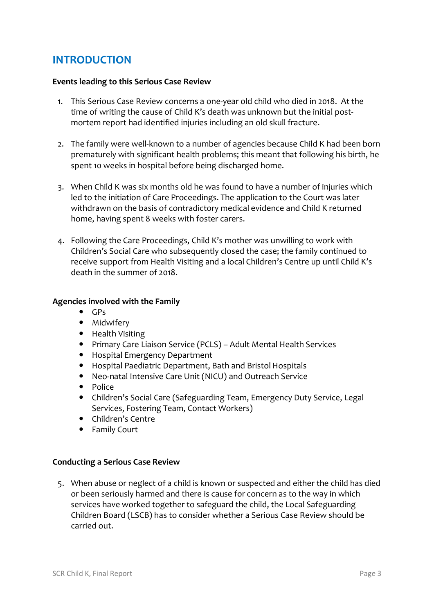## **INTRODUCTION**

#### **Events leading to this Serious Case Review**

- 1. This Serious Case Review concerns a one-year old child who died in 2018. At the time of writing the cause of Child K's death was unknown but the initial postmortem report had identified injuries including an old skull fracture.
- 2. The family were well-known to a number of agencies because Child K had been born prematurely with significant health problems; this meant that following his birth, he spent 10 weeks in hospital before being discharged home.
- 3. When Child K was six months old he was found to have a number of injuries which led to the initiation of Care Proceedings. The application to the Court was later withdrawn on the basis of contradictory medical evidence and Child K returned home, having spent 8 weeks with foster carers.
- 4. Following the Care Proceedings, Child K's mother was unwilling to work with Children's Social Care who subsequently closed the case; the family continued to receive support from Health Visiting and a local Children's Centre up until Child K's death in the summer of 2018.

#### **Agencies involved with the Family**

- $\bullet$  GPs
- Midwifery
- Health Visiting
- Primary Care Liaison Service (PCLS) Adult Mental Health Services
- Hospital Emergency Department
- Hospital Paediatric Department, Bath and Bristol Hospitals
- Neo-natal Intensive Care Unit (NICU) and Outreach Service
- Police
- Children's Social Care (Safeguarding Team, Emergency Duty Service, Legal Services, Fostering Team, Contact Workers)
- Children's Centre
- Family Court

#### **Conducting a Serious Case Review**

5. When abuse or neglect of a child is known or suspected and either the child has died or been seriously harmed and there is cause for concern as to the way in which services have worked together to safeguard the child, the Local Safeguarding Children Board (LSCB) has to consider whether a Serious Case Review should be carried out.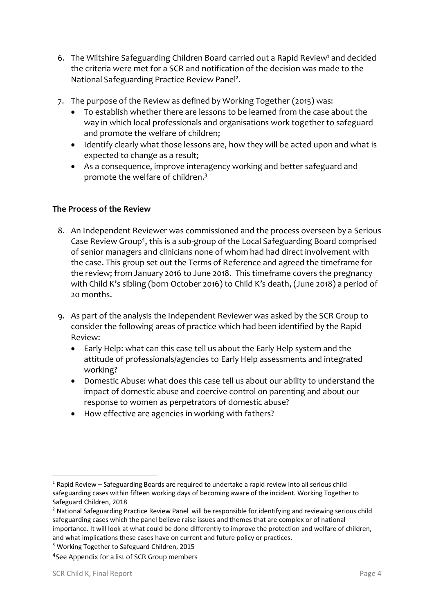- 6. The Wiltshire Safeguarding Children Board carried out a Rapid Review<sup>1</sup> and decided the criteria were met for a SCR and notification of the decision was made to the National Safeguarding Practice Review Panel<sup>2</sup>.
- 7. The purpose of the Review as defined by Working Together (2015) was:
	- To establish whether there are lessons to be learned from the case about the way in which local professionals and organisations work together to safeguard and promote the welfare of children;
	- Identify clearly what those lessons are, how they will be acted upon and what is expected to change as a result;
	- As a consequence, improve interagency working and better safeguard and promote the welfare of children.<sup>3</sup>

## **The Process of the Review**

- 8. An Independent Reviewer was commissioned and the process overseen by a Serious Case Review Group<sup>4</sup>, this is a sub-group of the Local Safeguarding Board comprised of senior managers and clinicians none of whom had had direct involvement with the case. This group set out the Terms of Reference and agreed the timeframe for the review; from January 2016 to June 2018. This timeframe covers the pregnancy with Child K's sibling (born October 2016) to Child K's death, (June 2018) a period of 20 months.
- 9. As part of the analysis the Independent Reviewer was asked by the SCR Group to consider the following areas of practice which had been identified by the Rapid Review:
	- Early Help: what can this case tell us about the Early Help system and the attitude of professionals/agencies to Early Help assessments and integrated working?
	- Domestic Abuse: what does this case tell us about our ability to understand the impact of domestic abuse and coercive control on parenting and about our response to women as perpetrators of domestic abuse?
	- How effective are agencies in working with fathers?

-

 $1$  Rapid Review – Safeguarding Boards are required to undertake a rapid review into all serious child safeguarding cases within fifteen working days of becoming aware of the incident. Working Together to Safeguard Children, 2018

<sup>&</sup>lt;sup>2</sup> National Safeguarding Practice Review Panel will be responsible for identifying and reviewing serious child safeguarding cases which the panel believe raise issues and themes that are complex or of national importance. It will look at what could be done differently to improve the protection and welfare of children, and what implications these cases have on current and future policy or practices.

<sup>3</sup> Working Together to Safeguard Children, 2015

<sup>4</sup> See Appendix for a list of SCR Group members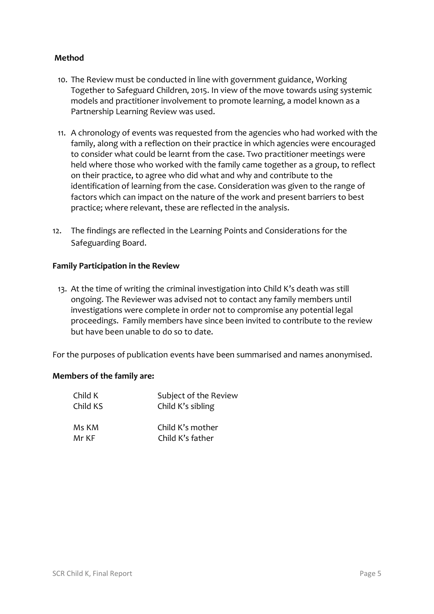## **Method**

- 10. The Review must be conducted in line with government guidance, Working Together to Safeguard Children, 2015. In view of the move towards using systemic models and practitioner involvement to promote learning, a model known as a Partnership Learning Review was used.
- 11. A chronology of events was requested from the agencies who had worked with the family, along with a reflection on their practice in which agencies were encouraged to consider what could be learnt from the case. Two practitioner meetings were held where those who worked with the family came together as a group, to reflect on their practice, to agree who did what and why and contribute to the identification of learning from the case. Consideration was given to the range of factors which can impact on the nature of the work and present barriers to best practice; where relevant, these are reflected in the analysis.
- 12. The findings are reflected in the Learning Points and Considerations for the Safeguarding Board.

## **Family Participation in the Review**

13. At the time of writing the criminal investigation into Child K's death was still ongoing. The Reviewer was advised not to contact any family members until investigations were complete in order not to compromise any potential legal proceedings. Family members have since been invited to contribute to the review but have been unable to do so to date.

For the purposes of publication events have been summarised and names anonymised.

#### **Members of the family are:**

| Child K  | Subject of the Review |
|----------|-----------------------|
| Child KS | Child K's sibling     |
| Ms KM    | Child K's mother      |
| Mr KF    | Child K's father      |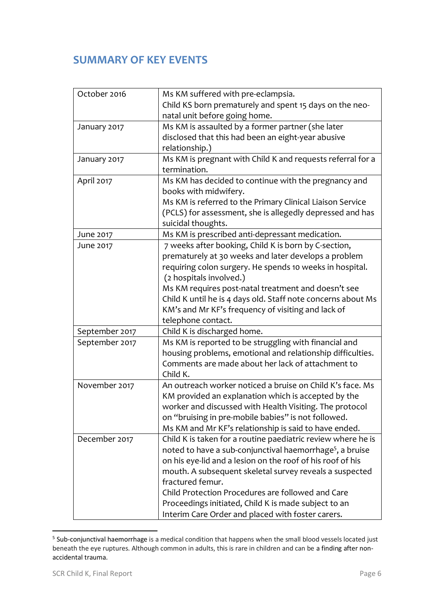# **SUMMARY OF KEY EVENTS**

| October 2016   | Ms KM suffered with pre-eclampsia.                                   |  |
|----------------|----------------------------------------------------------------------|--|
|                | Child KS born prematurely and spent 15 days on the neo-              |  |
|                | natal unit before going home.                                        |  |
| January 2017   | Ms KM is assaulted by a former partner (she later                    |  |
|                | disclosed that this had been an eight-year abusive                   |  |
|                | relationship.)                                                       |  |
| January 2017   | Ms KM is pregnant with Child K and requests referral for a           |  |
|                | termination.                                                         |  |
| April 2017     | Ms KM has decided to continue with the pregnancy and                 |  |
|                | books with midwifery.                                                |  |
|                | Ms KM is referred to the Primary Clinical Liaison Service            |  |
|                | (PCLS) for assessment, she is allegedly depressed and has            |  |
|                | suicidal thoughts.                                                   |  |
| June 2017      | Ms KM is prescribed anti-depressant medication.                      |  |
| June 2017      | 7 weeks after booking, Child K is born by C-section,                 |  |
|                | prematurely at 30 weeks and later develops a problem                 |  |
|                | requiring colon surgery. He spends 10 weeks in hospital.             |  |
|                | (2 hospitals involved.)                                              |  |
|                | Ms KM requires post-natal treatment and doesn't see                  |  |
|                | Child K until he is 4 days old. Staff note concerns about Ms         |  |
|                | KM's and Mr KF's frequency of visiting and lack of                   |  |
|                | telephone contact.                                                   |  |
| September 2017 | Child K is discharged home.                                          |  |
| September 2017 | Ms KM is reported to be struggling with financial and                |  |
|                | housing problems, emotional and relationship difficulties.           |  |
|                | Comments are made about her lack of attachment to                    |  |
|                | Child K.                                                             |  |
| November 2017  | An outreach worker noticed a bruise on Child K's face. Ms            |  |
|                | KM provided an explanation which is accepted by the                  |  |
|                | worker and discussed with Health Visiting. The protocol              |  |
|                | on "bruising in pre-mobile babies" is not followed.                  |  |
|                | Ms KM and Mr KF's relationship is said to have ended.                |  |
| December 2017  | Child K is taken for a routine paediatric review where he is         |  |
|                | noted to have a sub-conjunctival haemorrhage <sup>5</sup> , a bruise |  |
|                | on his eye-lid and a lesion on the roof of his roof of his           |  |
|                | mouth. A subsequent skeletal survey reveals a suspected              |  |
|                | fractured femur.                                                     |  |
|                | Child Protection Procedures are followed and Care                    |  |
|                | Proceedings initiated, Child K is made subject to an                 |  |
|                | Interim Care Order and placed with foster carers.                    |  |

 5 Sub-conjunctival haemorrhage is a medical condition that happens when the small blood vessels located just beneath the eye ruptures. Although common in adults, this is rare in children and can be a finding after nonaccidental trauma.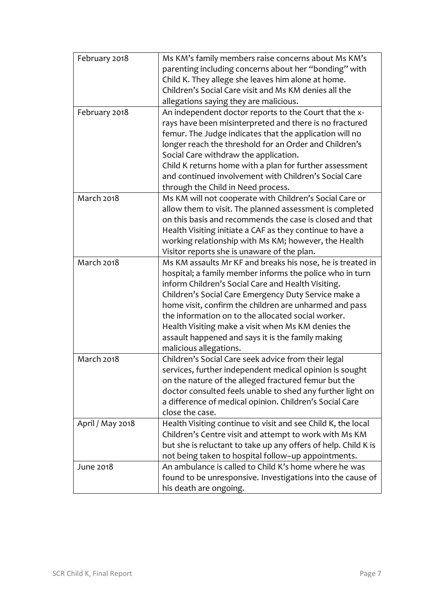| February 2018     | Ms KM's family members raise concerns about Ms KM's                         |
|-------------------|-----------------------------------------------------------------------------|
|                   | parenting including concerns about her "bonding" with                       |
|                   | Child K. They allege she leaves him alone at home.                          |
|                   | Children's Social Care visit and Ms KM denies all the                       |
|                   | allegations saying they are malicious.                                      |
| February 2018     | An independent doctor reports to the Court that the x-                      |
|                   | rays have been misinterpreted and there is no fractured                     |
|                   | femur. The Judge indicates that the application will no                     |
|                   | longer reach the threshold for an Order and Children's                      |
|                   | Social Care withdraw the application.                                       |
|                   | Child K returns home with a plan for further assessment                     |
|                   | and continued involvement with Children's Social Care                       |
|                   | through the Child in Need process.                                          |
| <b>March 2018</b> | Ms KM will not cooperate with Children's Social Care or                     |
|                   | allow them to visit. The planned assessment is completed                    |
|                   | on this basis and recommends the case is closed and that                    |
|                   | Health Visiting initiate a CAF as they continue to have a                   |
|                   | working relationship with Ms KM; however, the Health                        |
|                   | Visitor reports she is unaware of the plan.                                 |
| <b>March 2018</b> | Ms KM assaults Mr KF and breaks his nose, he is treated in                  |
|                   | hospital; a family member informs the police who in turn                    |
|                   | inform Children's Social Care and Health Visiting.                          |
|                   | Children's Social Care Emergency Duty Service make a                        |
|                   | home visit, confirm the children are unharmed and pass                      |
|                   | the information on to the allocated social worker.                          |
|                   | Health Visiting make a visit when Ms KM denies the                          |
|                   |                                                                             |
|                   | assault happened and says it is the family making<br>malicious allegations. |
| <b>March 2018</b> | Children's Social Care seek advice from their legal                         |
|                   | services, further independent medical opinion is sought                     |
|                   | on the nature of the alleged fractured femur but the                        |
|                   | doctor consulted feels unable to shed any further light on                  |
|                   | a difference of medical opinion. Children's Social Care                     |
|                   | close the case.                                                             |
| April / May 2018  | Health Visiting continue to visit and see Child K, the local                |
|                   | Children's Centre visit and attempt to work with Ms KM                      |
|                   | but she is reluctant to take up any offers of help. Child K is              |
|                   | not being taken to hospital follow-up appointments.                         |
|                   | An ambulance is called to Child K's home where he was                       |
| June 2018         |                                                                             |
|                   | found to be unresponsive. Investigations into the cause of                  |
|                   | his death are ongoing.                                                      |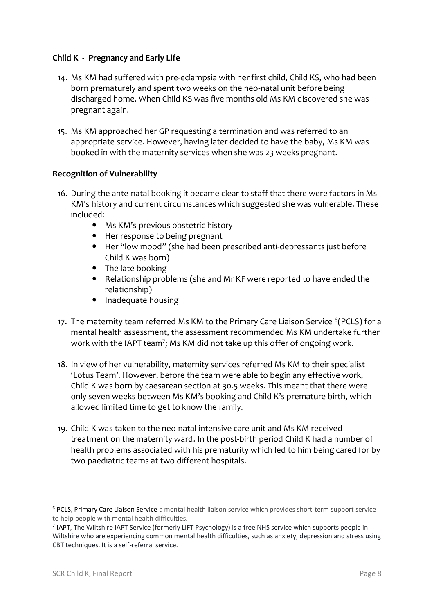## **Child K - Pregnancy and Early Life**

- 14. Ms KM had suffered with pre-eclampsia with her first child, Child KS, who had been born prematurely and spent two weeks on the neo-natal unit before being discharged home. When Child KS was five months old Ms KM discovered she was pregnant again.
- 15. Ms KM approached her GP requesting a termination and was referred to an appropriate service. However, having later decided to have the baby, Ms KM was booked in with the maternity services when she was 23 weeks pregnant.

## **Recognition of Vulnerability**

- 16. During the ante-natal booking it became clear to staff that there were factors in Ms KM's history and current circumstances which suggested she was vulnerable. These included:
	- Ms KM's previous obstetric history
	- Her response to being pregnant
	- Her "low mood" (she had been prescribed anti-depressants just before Child K was born)
	- The late booking
	- Relationship problems (she and Mr KF were reported to have ended the relationship)
	- Inadequate housing
- 17. The maternity team referred Ms KM to the Primary Care Liaison Service <sup>6</sup>(PCLS) for a mental health assessment, the assessment recommended Ms KM undertake further work with the IAPT team<sup>7</sup>; Ms KM did not take up this offer of ongoing work.
- 18. In view of her vulnerability, maternity services referred Ms KM to their specialist 'Lotus Team'. However, before the team were able to begin any effective work, Child K was born by caesarean section at 30.5 weeks. This meant that there were only seven weeks between Ms KM's booking and Child K's premature birth, which allowed limited time to get to know the family.
- 19. Child K was taken to the neo-natal intensive care unit and Ms KM received treatment on the maternity ward. In the post-birth period Child K had a number of health problems associated with his prematurity which led to him being cared for by two paediatric teams at two different hospitals.

**.** 

<sup>6</sup> PCLS, Primary Care Liaison Service a mental health liaison service which provides short-term support service to help people with mental health difficulties.

<sup>&</sup>lt;sup>7</sup> IAPT, The Wiltshire IAPT Service (formerly LIFT Psychology) is a free NHS service which supports people in Wiltshire who are experiencing common mental health difficulties, such as anxiety, depression and stress using CBT techniques. It is a self-referral service.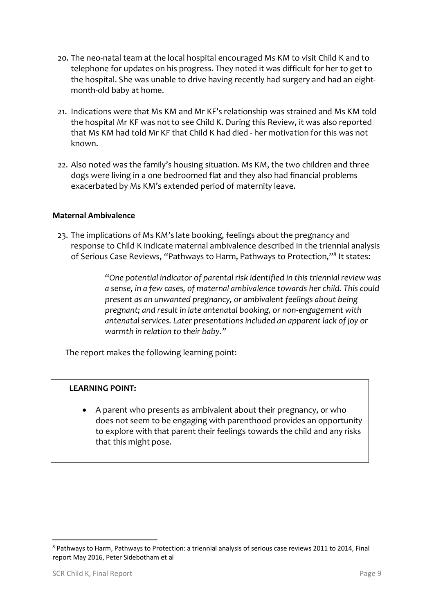- 20. The neo-natal team at the local hospital encouraged Ms KM to visit Child K and to telephone for updates on his progress. They noted it was difficult for her to get to the hospital. She was unable to drive having recently had surgery and had an eightmonth-old baby at home.
- 21. Indications were that Ms KM and Mr KF's relationship was strained and Ms KM told the hospital Mr KF was not to see Child K. During this Review, it was also reported that Ms KM had told Mr KF that Child K had died - her motivation for this was not known.
- 22. Also noted was the family's housing situation. Ms KM, the two children and three dogs were living in a one bedroomed flat and they also had financial problems exacerbated by Ms KM's extended period of maternity leave.

## **Maternal Ambivalence**

23. The implications of Ms KM's late booking, feelings about the pregnancy and response to Child K indicate maternal ambivalence described in the triennial analysis of Serious Case Reviews, "Pathways to Harm, Pathways to Protection,"<sup>8</sup> It states:

> "*One potential indicator of parental risk identified in this triennial review was a sense, in a few cases, of maternal ambivalence towards her child. This could present as an unwanted pregnancy, or ambivalent feelings about being pregnant; and result in late antenatal booking, or non-engagement with antenatal services. Later presentations included an apparent lack of joy or warmth in relation to their baby."*

The report makes the following learning point:

#### **LEARNING POINT:**

• A parent who presents as ambivalent about their pregnancy, or who does not seem to be engaging with parenthood provides an opportunity to explore with that parent their feelings towards the child and any risks that this might pose.

**.** 

<sup>8</sup> Pathways to Harm, Pathways to Protection: a triennial analysis of serious case reviews 2011 to 2014, Final report May 2016, Peter Sidebotham et al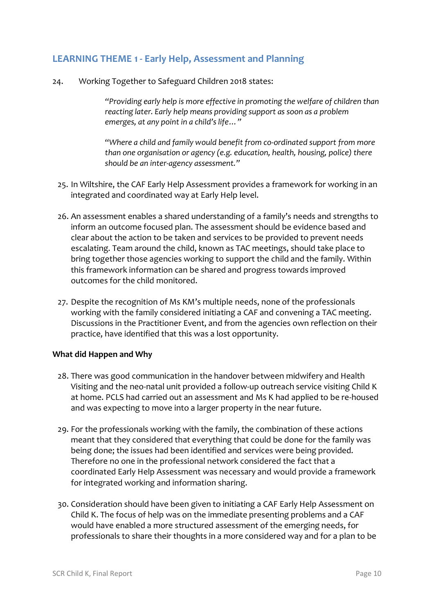## **LEARNING THEME 1 - Early Help, Assessment and Planning**

24. Working Together to Safeguard Children 2018 states:

*"Providing early help is more effective in promoting the welfare of children than reacting later. Early help means providing support as soon as a problem emerges, at any point in a child's life…"*

"*Where a child and family would benefit from co-ordinated support from more than one organisation or agency (e.g. education, health, housing, police) there should be an inter-agency assessment."*

- 25. In Wiltshire, the CAF Early Help Assessment provides a framework for working in an integrated and coordinated way at Early Help level.
- 26. An assessment enables a shared understanding of a family's needs and strengths to inform an outcome focused plan. The assessment should be evidence based and clear about the action to be taken and services to be provided to prevent needs escalating. Team around the child, known as TAC meetings, should take place to bring together those agencies working to support the child and the family. Within this framework information can be shared and progress towards improved outcomes for the child monitored.
- 27. Despite the recognition of Ms KM's multiple needs, none of the professionals working with the family considered initiating a CAF and convening a TAC meeting. Discussions in the Practitioner Event, and from the agencies own reflection on their practice, have identified that this was a lost opportunity.

#### **What did Happen and Why**

- 28. There was good communication in the handover between midwifery and Health Visiting and the neo-natal unit provided a follow-up outreach service visiting Child K at home. PCLS had carried out an assessment and Ms K had applied to be re-housed and was expecting to move into a larger property in the near future.
- 29. For the professionals working with the family, the combination of these actions meant that they considered that everything that could be done for the family was being done; the issues had been identified and services were being provided. Therefore no one in the professional network considered the fact that a coordinated Early Help Assessment was necessary and would provide a framework for integrated working and information sharing.
- 30. Consideration should have been given to initiating a CAF Early Help Assessment on Child K. The focus of help was on the immediate presenting problems and a CAF would have enabled a more structured assessment of the emerging needs, for professionals to share their thoughts in a more considered way and for a plan to be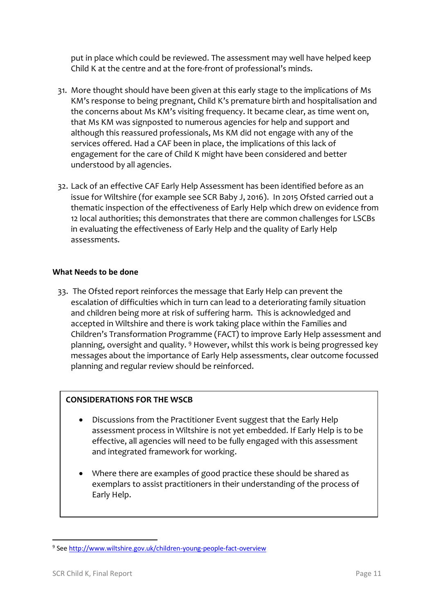put in place which could be reviewed. The assessment may well have helped keep Child K at the centre and at the fore-front of professional's minds.

- 31. More thought should have been given at this early stage to the implications of Ms KM's response to being pregnant, Child K's premature birth and hospitalisation and the concerns about Ms KM's visiting frequency. It became clear, as time went on, that Ms KM was signposted to numerous agencies for help and support and although this reassured professionals, Ms KM did not engage with any of the services offered. Had a CAF been in place, the implications of this lack of engagement for the care of Child K might have been considered and better understood by all agencies.
- 32. Lack of an effective CAF Early Help Assessment has been identified before as an issue for Wiltshire (for example see SCR Baby J, 2016). In 2015 Ofsted carried out a thematic inspection of the effectiveness of Early Help which drew on evidence from 12 local authorities; this demonstrates that there are common challenges for LSCBs in evaluating the effectiveness of Early Help and the quality of Early Help assessments.

## **What Needs to be done**

33. The Ofsted report reinforces the message that Early Help can prevent the escalation of difficulties which in turn can lead to a deteriorating family situation and children being more at risk of suffering harm. This is acknowledged and accepted in Wiltshire and there is work taking place within the Families and Children's Transformation Programme (FACT) to improve Early Help assessment and planning, oversight and quality. <sup>9</sup> However, whilst this work is being progressed key messages about the importance of Early Help assessments, clear outcome focussed planning and regular review should be reinforced.

## **CONSIDERATIONS FOR THE WSCB**

- Discussions from the Practitioner Event suggest that the Early Help assessment process in Wiltshire is not yet embedded. If Early Help is to be effective, all agencies will need to be fully engaged with this assessment and integrated framework for working.
- Where there are examples of good practice these should be shared as exemplars to assist practitioners in their understanding of the process of Early Help.

**<sup>.</sup>** <sup>9</sup> Se[e http://www.wiltshire.gov.uk/children-young-people-fact-overview](http://www.wiltshire.gov.uk/children-young-people-fact-overview)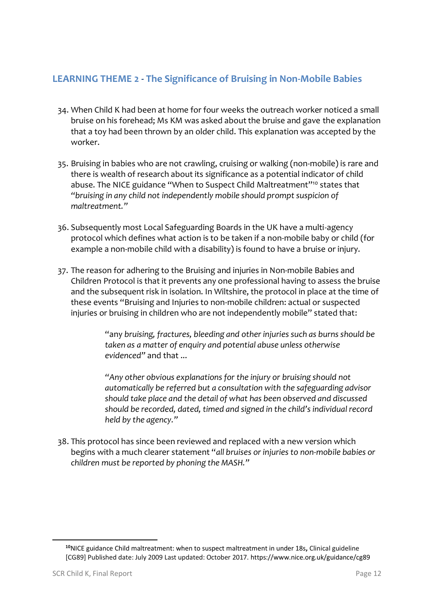## **LEARNING THEME 2 - The Significance of Bruising in Non-Mobile Babies**

- 34. When Child K had been at home for four weeks the outreach worker noticed a small bruise on his forehead; Ms KM was asked about the bruise and gave the explanation that a toy had been thrown by an older child. This explanation was accepted by the worker.
- 35. Bruising in babies who are not crawling, cruising or walking (non-mobile) is rare and there is wealth of research about its significance as a potential indicator of child abuse. The NICE guidance "When to Suspect Child Maltreatment"<sup>10</sup> states that *"bruising in any child not independently mobile should prompt suspicion of maltreatment."*
- 36. Subsequently most Local Safeguarding Boards in the UK have a multi-agency protocol which defines what action is to be taken if a non-mobile baby or child (for example a non-mobile child with a disability) is found to have a bruise or injury.
- 37. The reason for adhering to the Bruising and injuries in Non-mobile Babies and Children Protocol is that it prevents any one professional having to assess the bruise and the subsequent risk in isolation. In Wiltshire, the protocol in place at the time of these events "Bruising and Injuries to non-mobile children: actual or suspected injuries or bruising in children who are not independently mobile" stated that:

"any *bruising, fractures, bleeding and other injuries such as burns should be taken as a matter of enquiry and potential abuse unless otherwise evidenced"* and that ...

*"Any other obvious explanations for the injury or bruising should not automatically be referred but a consultation with the safeguarding advisor should take place and the detail of what has been observed and discussed should be recorded, dated, timed and signed in the child's individual record held by the agency."* 

38. This protocol has since been reviewed and replaced with a new version which begins with a much clearer statement "*all bruises or injuries to non-mobile babies or children must be reported by phoning the MASH."*

**.** 

**<sup>10</sup>**NICE guidance Child maltreatment: when to suspect maltreatment in under 18s**,** Clinical guideline [CG89] Published date: July 2009 Last updated: October 2017. https://www.nice.org.uk/guidance/cg89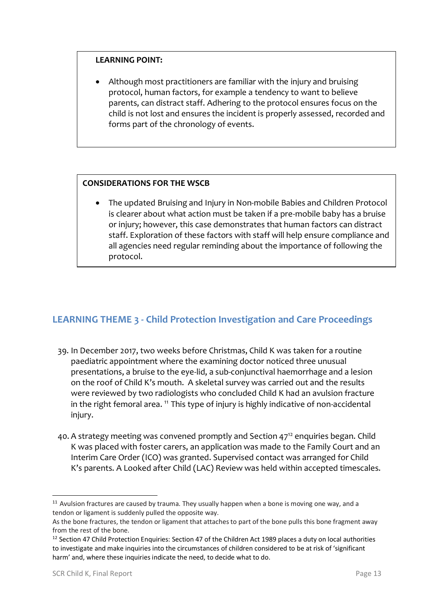## **LEARNING POINT:**

• Although most practitioners are familiar with the injury and bruising protocol, human factors, for example a tendency to want to believe parents, can distract staff. Adhering to the protocol ensures focus on the child is not lost and ensures the incident is properly assessed, recorded and forms part of the chronology of events.

## **CONSIDERATIONS FOR THE WSCB**

• The updated Bruising and Injury in Non-mobile Babies and Children Protocol is clearer about what action must be taken if a pre-mobile baby has a bruise or injury; however, this case demonstrates that human factors can distract staff. Exploration of these factors with staff will help ensure compliance and all agencies need regular reminding about the importance of following the protocol.

## **LEARNING THEME 3 - Child Protection Investigation and Care Proceedings**

- 39. In December 2017, two weeks before Christmas, Child K was taken for a routine paediatric appointment where the examining doctor noticed three unusual presentations, a bruise to the eye-lid, a sub-conjunctival haemorrhage and a lesion on the roof of Child K's mouth. A skeletal survey was carried out and the results were reviewed by two radiologists who concluded Child K had an avulsion fracture in the right femoral area.<sup>11</sup> This type of injury is highly indicative of non-accidental injury.
- 40. A strategy meeting was convened promptly and Section 47<sup>12</sup> enquiries began. Child K was placed with foster carers, an application was made to the Family Court and an Interim Care Order (ICO) was granted. Supervised contact was arranged for Child K's parents. A Looked after Child (LAC) Review was held within accepted timescales.

1

<sup>&</sup>lt;sup>11</sup> Avulsion fractures are caused by trauma. They usually happen when a bone is moving one way, and a tendon or ligament is suddenly pulled the opposite way.

As the bone fractures, the tendon or ligament that attaches to part of the bone pulls this bone fragment away from the rest of the bone.

<sup>&</sup>lt;sup>12</sup> Section 47 Child Protection Enquiries: Section 47 of the Children Act 1989 places a duty on local authorities to investigate and make inquiries into the circumstances of children considered to be at risk of 'significant harm' and, where these inquiries indicate the need, to decide what to do.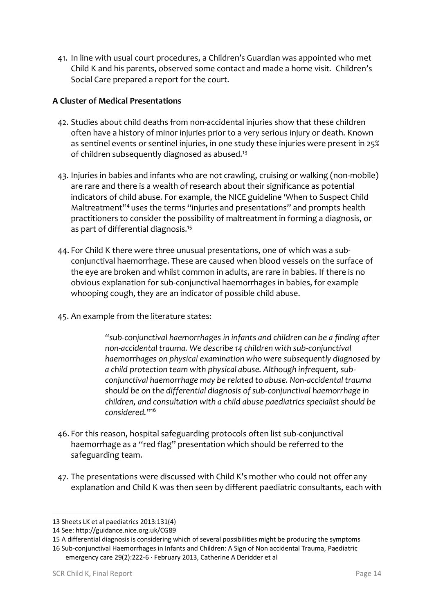41. In line with usual court procedures, a Children's Guardian was appointed who met Child K and his parents, observed some contact and made a home visit. Children's Social Care prepared a report for the court.

## **A Cluster of Medical Presentations**

- 42. Studies about child deaths from non-accidental injuries show that these children often have a history of minor injuries prior to a very serious injury or death. Known as sentinel events or sentinel injuries, in one study these injuries were present in 25% of children subsequently diagnosed as abused.<sup>13</sup>
- 43. Injuries in babies and infants who are not crawling, cruising or walking (non-mobile) are rare and there is a wealth of research about their significance as potential indicators of child abuse. For example, the NICE guideline 'When to Suspect Child Maltreatment<sup>14</sup> uses the terms "injuries and presentations" and prompts health practitioners to consider the possibility of maltreatment in forming a diagnosis, or as part of differential diagnosis.<sup>15</sup>
- 44. For Child K there were three unusual presentations, one of which was a subconjunctival haemorrhage. These are caused when blood vessels on the surface of the eye are broken and whilst common in adults, are rare in babies. If there is no obvious explanation for sub-conjunctival haemorrhages in babies, for example whooping cough, they are an indicator of possible child abuse.
- 45. An example from the literature states:

*"sub-conjunctival haemorrhages in infants and children can be a finding after non-accidental trauma. We describe 14 children with sub-conjunctival haemorrhages on physical examination who were subsequently diagnosed by a child protection team with physical abuse. Although infrequent, subconjunctival haemorrhage may be related to abuse. Non-accidental trauma should be on the differential diagnosis of sub-conjunctival haemorrhage in children, and consultation with a child abuse paediatrics specialist should be considered.*" 16

- 46. For this reason, hospital safeguarding protocols often list sub-conjunctival haemorrhage as a "red flag" presentation which should be referred to the safeguarding team.
- 47. The presentations were discussed with Child K's mother who could not offer any explanation and Child K was then seen by different paediatric consultants, each with

-

<sup>13</sup> Sheets LK et al paediatrics 2013:131(4)

<sup>14</sup> See: http://guidance.nice.org.uk/CG89

<sup>15</sup> A differential diagnosis is considering which of several possibilities might be producing the symptoms

<sup>16</sup> Sub-conjunctival Haemorrhages in Infants and Children: A Sign of Non accidental Trauma[, Paediatric](https://www.researchgate.net/journal/1535-1815_Pediatric_emergency_care) 

[emergency care](https://www.researchgate.net/journal/1535-1815_Pediatric_emergency_care) 29(2):222-6 · February 2013, Catherine A Deridder et al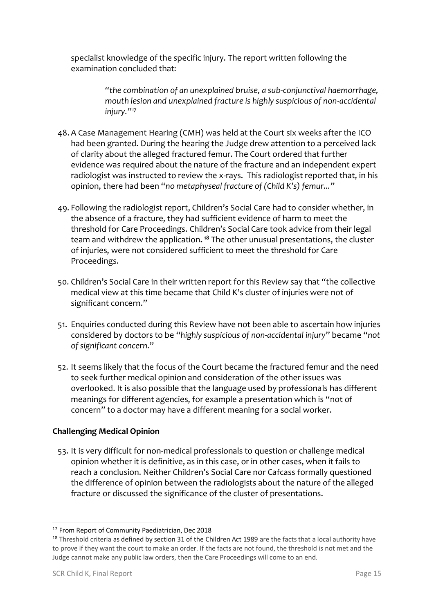specialist knowledge of the specific injury. The report written following the examination concluded that:

> *"the combination of an unexplained bruise, a sub-conjunctival haemorrhage, mouth lesion and unexplained fracture is highly suspicious of non-accidental injury."<sup>17</sup>*

- 48.A Case Management Hearing (CMH) was held at the Court six weeks after the ICO had been granted. During the hearing the Judge drew attention to a perceived lack of clarity about the alleged fractured femur. The Court ordered that further evidence was required about the nature of the fracture and an independent expert radiologist was instructed to review the x-rays. This radiologist reported that, in his opinion, there had been "*no metaphyseal fracture of (Child K's) femur..."*
- 49. Following the radiologist report, Children's Social Care had to consider whether, in the absence of a fracture, they had sufficient evidence of harm to meet the threshold for Care Proceedings. Children's Social Care took advice from their legal team and withdrew the application**. <sup>18</sup>** The other unusual presentations, the cluster of injuries, were not considered sufficient to meet the threshold for Care Proceedings.
- 50. Children's Social Care in their written report for this Review say that "the collective medical view at this time became that Child K's cluster of injuries were not of significant concern."
- 51. Enquiries conducted during this Review have not been able to ascertain how injuries considered by doctors to be "*highly suspicious of non-accidental injury*" became "*not of significant concern*."
- 52. It seems likely that the focus of the Court became the fractured femur and the need to seek further medical opinion and consideration of the other issues was overlooked. It is also possible that the language used by professionals has different meanings for different agencies, for example a presentation which is "not of concern" to a doctor may have a different meaning for a social worker.

## **Challenging Medical Opinion**

53. It is very difficult for non-medical professionals to question or challenge medical opinion whether it is definitive, as in this case, or in other cases, when it fails to reach a conclusion. Neither Children's Social Care nor Cafcass formally questioned the difference of opinion between the radiologists about the nature of the alleged fracture or discussed the significance of the cluster of presentations.

-

<sup>&</sup>lt;sup>17</sup> From Report of Community Paediatrician, Dec 2018

<sup>&</sup>lt;sup>18</sup> Threshold criteria as defined by section 31 of the Children Act 1989 are the facts that a local authority have to prove if they want the court to make an order. If the facts are not found, the threshold is not met and the Judge cannot make any public law orders, then the Care Proceedings will come to an end.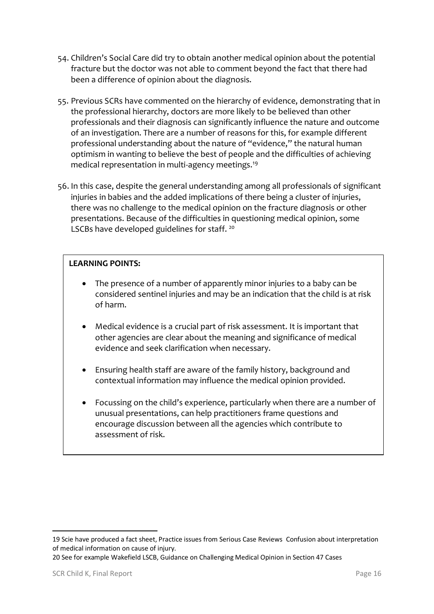- 54. Children's Social Care did try to obtain another medical opinion about the potential fracture but the doctor was not able to comment beyond the fact that there had been a difference of opinion about the diagnosis.
- 55. Previous SCRs have commented on the hierarchy of evidence, demonstrating that in the professional hierarchy, doctors are more likely to be believed than other professionals and their diagnosis can significantly influence the nature and outcome of an investigation. There are a number of reasons for this, for example different professional understanding about the nature of "evidence," the natural human optimism in wanting to believe the best of people and the difficulties of achieving medical representation in multi-agency meetings.<sup>19</sup>
- 56. In this case, despite the general understanding among all professionals of significant injuries in babies and the added implications of there being a cluster of injuries, there was no challenge to the medical opinion on the fracture diagnosis or other presentations. Because of the difficulties in questioning medical opinion, some LSCBs have developed guidelines for staff.<sup>20</sup>

## **LEARNING POINTS:**

- The presence of a number of apparently minor injuries to a baby can be considered sentinel injuries and may be an indication that the child is at risk of harm.
- Medical evidence is a crucial part of risk assessment. It is important that other agencies are clear about the meaning and significance of medical evidence and seek clarification when necessary.
- Ensuring health staff are aware of the family history, background and contextual information may influence the medical opinion provided.
- Focussing on the child's experience, particularly when there are a number of unusual presentations, can help practitioners frame questions and encourage discussion between all the agencies which contribute to assessment of risk.

• Practitioners should be aware of the role of the Named Professionals and

1

<sup>19</sup> Scie have produced a fact sheet, Practice issues from Serious Case Reviews Confusion about interpretation of medical information on cause of injury.

<sup>20</sup> See for example Wakefield LSCB, Guidance on Challenging Medical Opinion in Section 47 Cases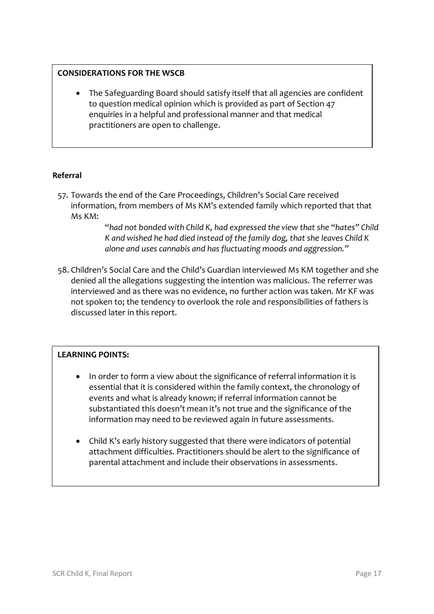## **CONSIDERATIONS FOR THE WSCB**

• The Safeguarding Board should satisfy itself that all agencies are confident to question medical opinion which is provided as part of Section 47 enquiries in a helpful and professional manner and that medical practitioners are open to challenge.

## **Referral**

57. Towards the end of the Care Proceedings, Children's Social Care received information, from members of Ms KM's extended family which reported that that Ms KM:

> "*had not bonded with Child K, had expressed the view that she "hates" Child K and wished he had died instead of the family dog, that she leaves Child K alone and uses cannabis and has fluctuating moods and aggression."*

58. Children's Social Care and the Child's Guardian interviewed Ms KM together and she denied all the allegations suggesting the intention was malicious. The referrer was interviewed and as there was no evidence, no further action was taken. Mr KF was not spoken to; the tendency to overlook the role and responsibilities of fathers is discussed later in this report.

## **LEARNING POINTS:**

- In order to form a view about the significance of referral information it is essential that it is considered within the family context, the chronology of events and what is already known; if referral information cannot be substantiated this doesn't mean it's not true and the significance of the information may need to be reviewed again in future assessments.
- Child K's early history suggested that there were indicators of potential attachment difficulties. Practitioners should be alert to the significance of parental attachment and include their observations in assessments.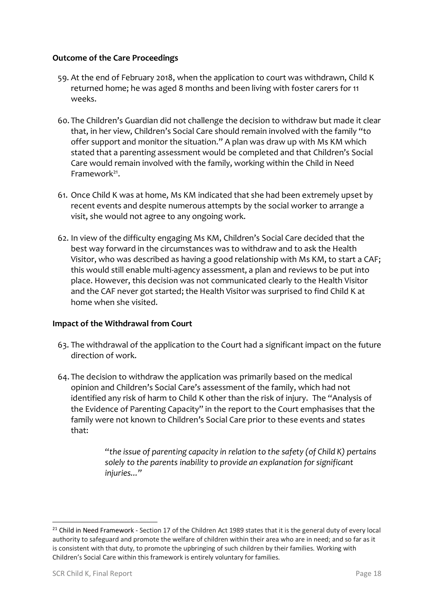## **Outcome of the Care Proceedings**

- 59. At the end of February 2018, when the application to court was withdrawn, Child K returned home; he was aged 8 months and been living with foster carers for 11 weeks.
- 60. The Children's Guardian did not challenge the decision to withdraw but made it clear that, in her view, Children's Social Care should remain involved with the family "to offer support and monitor the situation." A plan was draw up with Ms KM which stated that a parenting assessment would be completed and that Children's Social Care would remain involved with the family, working within the Child in Need Framework<sup>21</sup>.
- 61. Once Child K was at home, Ms KM indicated that she had been extremely upset by recent events and despite numerous attempts by the social worker to arrange a visit, she would not agree to any ongoing work.
- 62. In view of the difficulty engaging Ms KM, Children's Social Care decided that the best way forward in the circumstances was to withdraw and to ask the Health Visitor, who was described as having a good relationship with Ms KM, to start a CAF; this would still enable multi-agency assessment, a plan and reviews to be put into place. However, this decision was not communicated clearly to the Health Visitor and the CAF never got started; the Health Visitor was surprised to find Child K at home when she visited.

## **Impact of the Withdrawal from Court**

- 63. The withdrawal of the application to the Court had a significant impact on the future direction of work.
- 64. The decision to withdraw the application was primarily based on the medical opinion and Children's Social Care's assessment of the family, which had not identified any risk of harm to Child K other than the risk of injury. The "Analysis of the Evidence of Parenting Capacity" in the report to the Court emphasises that the family were not known to Children's Social Care prior to these events and states that:

"*the issue of parenting capacity in relation to the safety (of Child K) pertains solely to the parents inability to provide an explanation for significant injuries..."*

-

<sup>&</sup>lt;sup>21</sup> Child in Need Framework - Section 17 of the Children Act 1989 states that it is the general duty of every local authority to safeguard and promote the welfare of children within their area who are in need; and so far as it is consistent with that duty, to promote the upbringing of such children by their families. Working with Children's Social Care within this framework is entirely voluntary for families.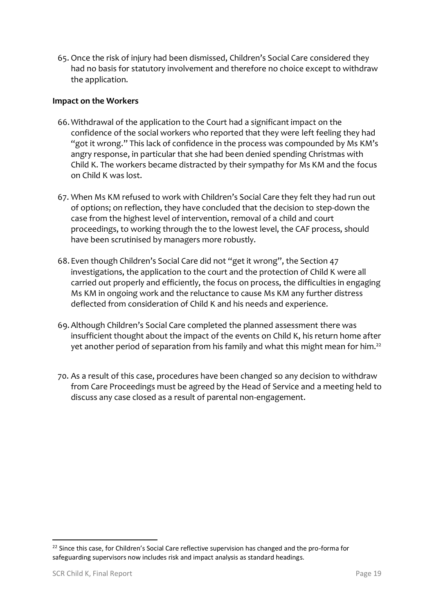65. Once the risk of injury had been dismissed, Children's Social Care considered they had no basis for statutory involvement and therefore no choice except to withdraw the application.

## **Impact on the Workers**

- 66.Withdrawal of the application to the Court had a significant impact on the confidence of the social workers who reported that they were left feeling they had "got it wrong." This lack of confidence in the process was compounded by Ms KM's angry response, in particular that she had been denied spending Christmas with Child K. The workers became distracted by their sympathy for Ms KM and the focus on Child K was lost.
- 67. When Ms KM refused to work with Children's Social Care they felt they had run out of options; on reflection, they have concluded that the decision to step-down the case from the highest level of intervention, removal of a child and court proceedings, to working through the to the lowest level, the CAF process, should have been scrutinised by managers more robustly.
- 68. Even though Children's Social Care did not "get it wrong", the Section 47 investigations, the application to the court and the protection of Child K were all carried out properly and efficiently, the focus on process, the difficulties in engaging Ms KM in ongoing work and the reluctance to cause Ms KM any further distress deflected from consideration of Child K and his needs and experience.
- 69.Although Children's Social Care completed the planned assessment there was insufficient thought about the impact of the events on Child K, his return home after yet another period of separation from his family and what this might mean for him. $^{\mathsf{22}}$
- 70. As a result of this case, procedures have been changed so any decision to withdraw from Care Proceedings must be agreed by the Head of Service and a meeting held to discuss any case closed as a result of parental non-engagement.

**<sup>.</sup>** <sup>22</sup> Since this case, for Children's Social Care reflective supervision has changed and the pro-forma for safeguarding supervisors now includes risk and impact analysis as standard headings.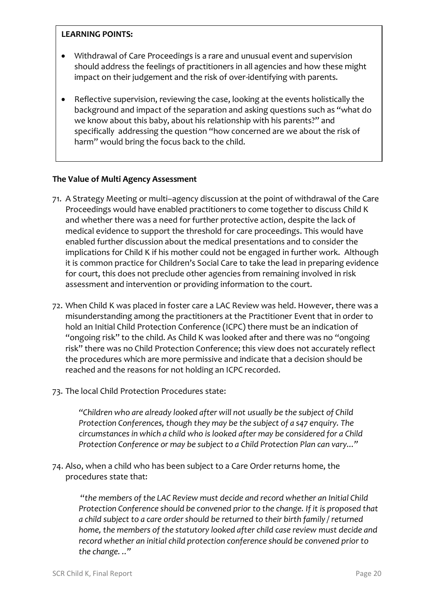## **LEARNING POINTS:**

- Withdrawal of Care Proceedings is a rare and unusual event and supervision should address the feelings of practitioners in all agencies and how these might impact on their judgement and the risk of over-identifying with parents.
- Reflective supervision, reviewing the case, looking at the events holistically the background and impact of the separation and asking questions such as "what do we know about this baby, about his relationship with his parents?" and specifically addressing the question "how concerned are we about the risk of harm" would bring the focus back to the child.

## **The Value of Multi Agency Assessment**

- 71. A Strategy Meeting or multi–agency discussion at the point of withdrawal of the Care Proceedings would have enabled practitioners to come together to discuss Child K and whether there was a need for further protective action, despite the lack of medical evidence to support the threshold for care proceedings. This would have enabled further discussion about the medical presentations and to consider the implications for Child K if his mother could not be engaged in further work. Although it is common practice for Children's Social Care to take the lead in preparing evidence for court, this does not preclude other agencies from remaining involved in risk assessment and intervention or providing information to the court.
- 72. When Child K was placed in foster care a LAC Review was held. However, there was a misunderstanding among the practitioners at the Practitioner Event that in order to hold an Initial Child Protection Conference (ICPC) there must be an indication of "ongoing risk" to the child. As Child K was looked after and there was no "ongoing risk" there was no Child Protection Conference; this view does not accurately reflect the procedures which are more permissive and indicate that a decision should be reached and the reasons for not holding an ICPC recorded.
- 73. The local Child Protection Procedures state:

*"Children who are already looked after will not usually be the subject of Child Protection Conferences, though they may be the subject of a s47 enquiry. The circumstances in which a child who is looked after may be considered for a Child Protection Conference or may be subject to a Child Protection Plan can vary..."*

74. Also, when a child who has been subject to a Care Order returns home, the procedures state that:

"*the members of the LAC Review must decide and record whether an Initial Child Protection Conference should be convened prior to the change. If it is proposed that a child subject to a care order should be returned to their birth family / returned home, the members of the statutory looked after child case review must decide and record whether an initial child protection conference should be convened prior to the change. .."*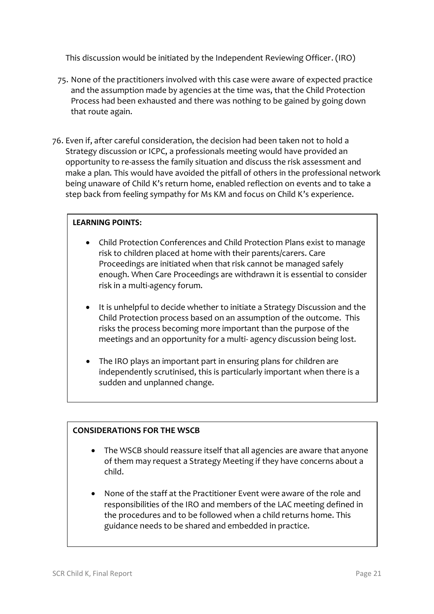This discussion would be initiated by the Independent Reviewing Officer. (IRO)

- 75. None of the practitioners involved with this case were aware of expected practice and the assumption made by agencies at the time was, that the Child Protection Process had been exhausted and there was nothing to be gained by going down that route again.
- 76. Even if, after careful consideration, the decision had been taken not to hold a Strategy discussion or ICPC, a professionals meeting would have provided an opportunity to re-assess the family situation and discuss the risk assessment and make a plan. This would have avoided the pitfall of others in the professional network being unaware of Child K's return home, enabled reflection on events and to take a step back from feeling sympathy for Ms KM and focus on Child K's experience.

## **LEARNING POINTS:**

- Child Protection Conferences and Child Protection Plans exist to manage risk to children placed at home with their parents/carers. Care Proceedings are initiated when that risk cannot be managed safely enough. When Care Proceedings are withdrawn it is essential to consider risk in a multi-agency forum.
- It is unhelpful to decide whether to initiate a Strategy Discussion and the Child Protection process based on an assumption of the outcome. This risks the process becoming more important than the purpose of the meetings and an opportunity for a multi- agency discussion being lost.
- The IRO plays an important part in ensuring plans for children are independently scrutinised, this is particularly important when there is a sudden and unplanned change.

## **CONSIDERATIONS FOR THE WSCB**

- The WSCB should reassure itself that all agencies are aware that anyone of them may request a Strategy Meeting if they have concerns about a child.
- None of the staff at the Practitioner Event were aware of the role and responsibilities of the IRO and members of the LAC meeting defined in the procedures and to be followed when a child returns home. This guidance needs to be shared and embedded in practice.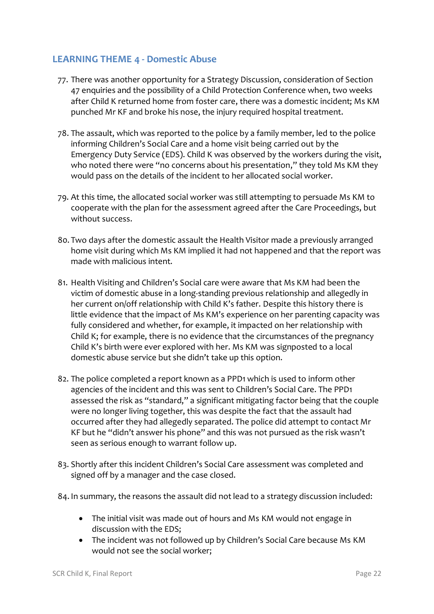## **LEARNING THEME 4 - Domestic Abuse**

- 77. There was another opportunity for a Strategy Discussion, consideration of Section 47 enquiries and the possibility of a Child Protection Conference when, two weeks after Child K returned home from foster care, there was a domestic incident; Ms KM punched Mr KF and broke his nose, the injury required hospital treatment.
- 78. The assault, which was reported to the police by a family member, led to the police informing Children's Social Care and a home visit being carried out by the Emergency Duty Service (EDS). Child K was observed by the workers during the visit, who noted there were "no concerns about his presentation." they told Ms KM they would pass on the details of the incident to her allocated social worker.
- 79. At this time, the allocated social worker was still attempting to persuade Ms KM to cooperate with the plan for the assessment agreed after the Care Proceedings, but without success.
- 80. Two days after the domestic assault the Health Visitor made a previously arranged home visit during which Ms KM implied it had not happened and that the report was made with malicious intent.
- 81. Health Visiting and Children's Social care were aware that Ms KM had been the victim of domestic abuse in a long-standing previous relationship and allegedly in her current on/off relationship with Child K's father. Despite this history there is little evidence that the impact of Ms KM's experience on her parenting capacity was fully considered and whether, for example, it impacted on her relationship with Child K; for example, there is no evidence that the circumstances of the pregnancy Child K's birth were ever explored with her. Ms KM was signposted to a local domestic abuse service but she didn't take up this option.
- 82. The police completed a report known as a PPD1 which is used to inform other agencies of the incident and this was sent to Children's Social Care. The PPD1 assessed the risk as "standard," a significant mitigating factor being that the couple were no longer living together, this was despite the fact that the assault had occurred after they had allegedly separated. The police did attempt to contact Mr KF but he "didn't answer his phone" and this was not pursued as the risk wasn't seen as serious enough to warrant follow up.
- 83. Shortly after this incident Children's Social Care assessment was completed and signed off by a manager and the case closed.
- 84. In summary, the reasons the assault did not lead to a strategy discussion included:
	- The initial visit was made out of hours and Ms KM would not engage in discussion with the EDS;
	- The incident was not followed up by Children's Social Care because Ms KM would not see the social worker;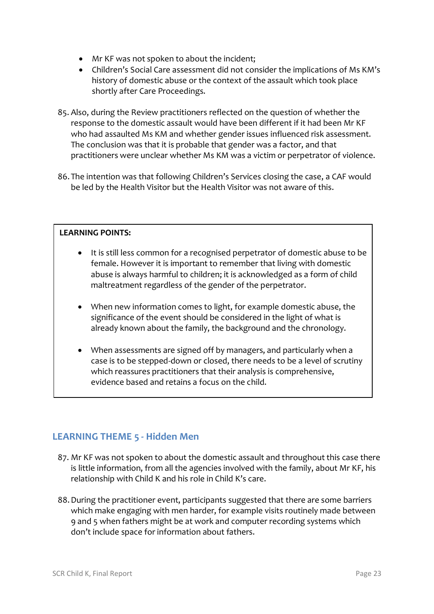- Mr KF was not spoken to about the incident;
- Children's Social Care assessment did not consider the implications of Ms KM's history of domestic abuse or the context of the assault which took place shortly after Care Proceedings.
- 85. Also, during the Review practitioners reflected on the question of whether the response to the domestic assault would have been different if it had been Mr KF who had assaulted Ms KM and whether gender issues influenced risk assessment. The conclusion was that it is probable that gender was a factor, and that practitioners were unclear whether Ms KM was a victim or perpetrator of violence.
- 86. The intention was that following Children's Services closing the case, a CAF would be led by the Health Visitor but the Health Visitor was not aware of this.

## **LEARNING POINTS:**

- It is still less common for a recognised perpetrator of domestic abuse to be female. However it is important to remember that living with domestic abuse is always harmful to children; it is acknowledged as a form of child maltreatment regardless of the gender of the perpetrator.
- When new information comes to light, for example domestic abuse, the significance of the event should be considered in the light of what is already known about the family, the background and the chronology.
- When assessments are signed off by managers, and particularly when a case is to be stepped-down or closed, there needs to be a level of scrutiny which reassures practitioners that their analysis is comprehensive, evidence based and retains a focus on the child.

## **LEARNING THEME 5 - Hidden Men**

- 87. Mr KF was not spoken to about the domestic assault and throughout this case there is little information, from all the agencies involved with the family, about Mr KF, his relationship with Child K and his role in Child K's care.
- 88.During the practitioner event, participants suggested that there are some barriers which make engaging with men harder, for example visits routinely made between 9 and 5 when fathers might be at work and computer recording systems which don't include space for information about fathers.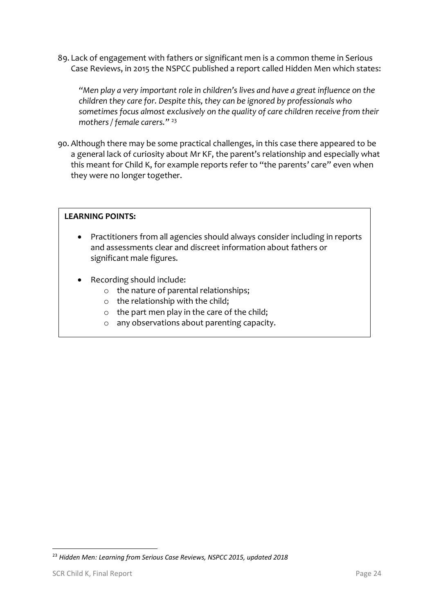89. Lack of engagement with fathers or significant men is a common theme in Serious Case Reviews, in 2015 the NSPCC published a report called Hidden Men which states:

*"Men play a very important role in children's lives and have a great influence on the children they care for. Despite this, they can be ignored by professionals who sometimes focus almost exclusively on the quality of care children receive from their mothers / female carers."* <sup>23</sup>

90. Although there may be some practical challenges, in this case there appeared to be a general lack of curiosity about Mr KF, the parent's relationship and especially what this meant for Child K, for example reports refer to "the parents' care" even when they were no longer together.

## **LEARNING POINTS:**

- Practitioners from all agencies should always consider including in reports and assessments clear and discreet information about fathers or significant male figures.
- Recording should include:
	- o the nature of parental relationships;
	- o the relationship with the child;
	- o the part men play in the care of the child;
	- o any observations about parenting capacity.

-

<sup>23</sup> *Hidden Men: Learning from Serious Case Reviews, NSPCC 2015, updated 2018*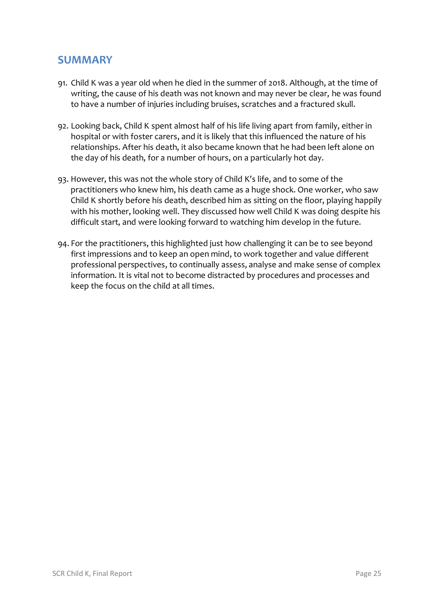# **SUMMARY**

- 91. Child K was a year old when he died in the summer of 2018. Although, at the time of writing, the cause of his death was not known and may never be clear, he was found to have a number of injuries including bruises, scratches and a fractured skull.
- 92. Looking back, Child K spent almost half of his life living apart from family, either in hospital or with foster carers, and it is likely that this influenced the nature of his relationships. After his death, it also became known that he had been left alone on the day of his death, for a number of hours, on a particularly hot day.
- 93. However, this was not the whole story of Child K's life, and to some of the practitioners who knew him, his death came as a huge shock. One worker, who saw Child K shortly before his death, described him as sitting on the floor, playing happily with his mother, looking well. They discussed how well Child K was doing despite his difficult start, and were looking forward to watching him develop in the future.
- 94. For the practitioners, this highlighted just how challenging it can be to see beyond first impressions and to keep an open mind, to work together and value different professional perspectives, to continually assess, analyse and make sense of complex information. It is vital not to become distracted by procedures and processes and keep the focus on the child at all times.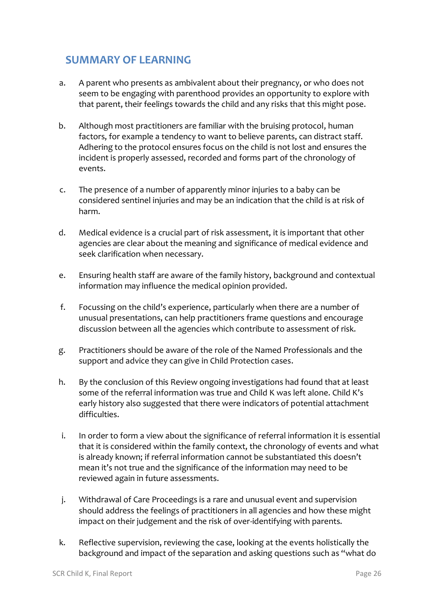# **SUMMARY OF LEARNING**

- a. A parent who presents as ambivalent about their pregnancy, or who does not seem to be engaging with parenthood provides an opportunity to explore with that parent, their feelings towards the child and any risks that this might pose.
- b. Although most practitioners are familiar with the bruising protocol, human factors, for example a tendency to want to believe parents, can distract staff. Adhering to the protocol ensures focus on the child is not lost and ensures the incident is properly assessed, recorded and forms part of the chronology of events.
- c. The presence of a number of apparently minor injuries to a baby can be considered sentinel injuries and may be an indication that the child is at risk of harm.
- d. Medical evidence is a crucial part of risk assessment, it is important that other agencies are clear about the meaning and significance of medical evidence and seek clarification when necessary.
- e. Ensuring health staff are aware of the family history, background and contextual information may influence the medical opinion provided.
- f. Focussing on the child's experience, particularly when there are a number of unusual presentations, can help practitioners frame questions and encourage discussion between all the agencies which contribute to assessment of risk.
- g. Practitioners should be aware of the role of the Named Professionals and the support and advice they can give in Child Protection cases.
- h. By the conclusion of this Review ongoing investigations had found that at least some of the referral information was true and Child K was left alone. Child K's early history also suggested that there were indicators of potential attachment difficulties.
- i. In order to form a view about the significance of referral information it is essential that it is considered within the family context, the chronology of events and what is already known; if referral information cannot be substantiated this doesn't mean it's not true and the significance of the information may need to be reviewed again in future assessments.
- j. Withdrawal of Care Proceedings is a rare and unusual event and supervision should address the feelings of practitioners in all agencies and how these might impact on their judgement and the risk of over-identifying with parents.
- k. Reflective supervision, reviewing the case, looking at the events holistically the background and impact of the separation and asking questions such as "what do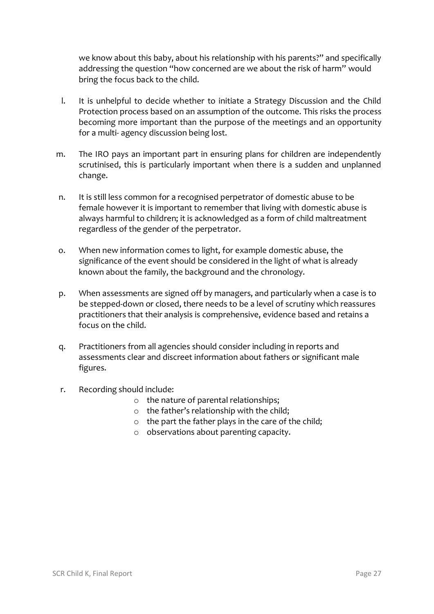we know about this baby, about his relationship with his parents?" and specifically addressing the question "how concerned are we about the risk of harm" would bring the focus back to the child.

- l. It is unhelpful to decide whether to initiate a Strategy Discussion and the Child Protection process based on an assumption of the outcome. This risks the process becoming more important than the purpose of the meetings and an opportunity for a multi- agency discussion being lost.
- m. The IRO pays an important part in ensuring plans for children are independently scrutinised, this is particularly important when there is a sudden and unplanned change.
- n. It is still less common for a recognised perpetrator of domestic abuse to be female however it is important to remember that living with domestic abuse is always harmful to children; it is acknowledged as a form of child maltreatment regardless of the gender of the perpetrator.
- o. When new information comes to light, for example domestic abuse, the significance of the event should be considered in the light of what is already known about the family, the background and the chronology.
- p. When assessments are signed off by managers, and particularly when a case is to be stepped-down or closed, there needs to be a level of scrutiny which reassures practitioners that their analysis is comprehensive, evidence based and retains a focus on the child.
- q. Practitioners from all agencies should consider including in reports and assessments clear and discreet information about fathers or significant male figures.
- r. Recording should include:
	- o the nature of parental relationships;
	- o the father's relationship with the child;
	- o the part the father plays in the care of the child;
	- o observations about parenting capacity.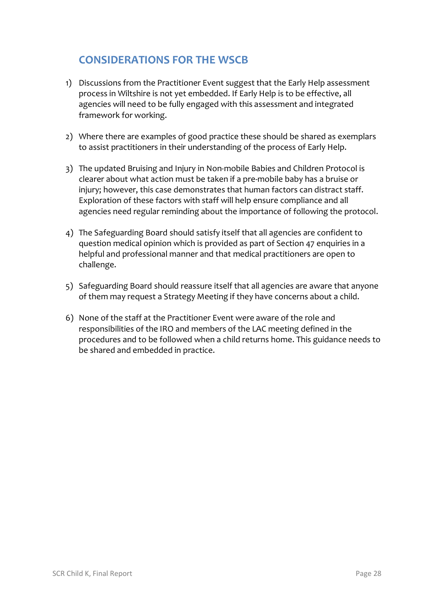# **CONSIDERATIONS FOR THE WSCB**

- 1) Discussions from the Practitioner Event suggest that the Early Help assessment process in Wiltshire is not yet embedded. If Early Help is to be effective, all agencies will need to be fully engaged with this assessment and integrated framework for working.
- 2) Where there are examples of good practice these should be shared as exemplars to assist practitioners in their understanding of the process of Early Help.
- 3) The updated Bruising and Injury in Non-mobile Babies and Children Protocol is clearer about what action must be taken if a pre-mobile baby has a bruise or injury; however, this case demonstrates that human factors can distract staff. Exploration of these factors with staff will help ensure compliance and all agencies need regular reminding about the importance of following the protocol.
- 4) The Safeguarding Board should satisfy itself that all agencies are confident to question medical opinion which is provided as part of Section 47 enquiries in a helpful and professional manner and that medical practitioners are open to challenge.
- 5) Safeguarding Board should reassure itself that all agencies are aware that anyone of them may request a Strategy Meeting if they have concerns about a child.
- 6) None of the staff at the Practitioner Event were aware of the role and responsibilities of the IRO and members of the LAC meeting defined in the procedures and to be followed when a child returns home. This guidance needs to be shared and embedded in practice.